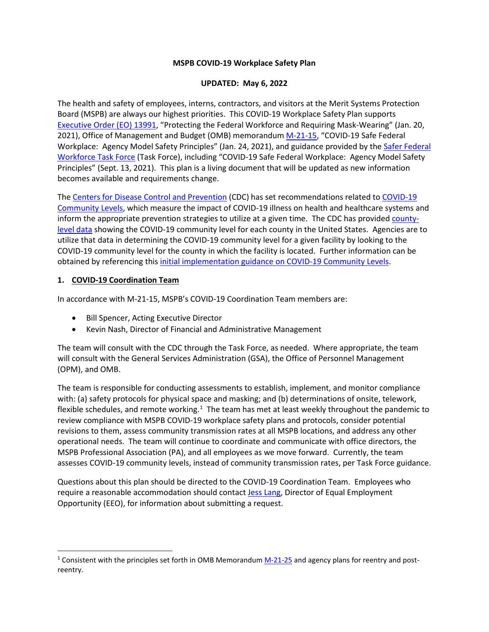### **MSPB COVID-19 Workplace Safety Plan**

### **UPDATED: May 6, 2022**

The health and safety of employees, interns, contractors, and visitors at the Merit Systems Protection Board (MSPB) are always our highest priorities. This COVID-19 Workplace Safety Plan supports [Executive Order \(EO\) 13991,](https://www.govinfo.gov/content/pkg/FR-2021-01-25/pdf/2021-01766.pdf) "Protecting the Federal Workforce and Requiring Mask-Wearing" (Jan. 20, 2021), Office of Management and Budget (OMB) memorandum [M-21-15,](https://www.whitehouse.gov/wp-content/uploads/2021/01/M-21-15.pdf) "COVID-19 Safe Federal Workplace: Agency Model Safety Principles" (Jan. 24, 2021), and guidance provided by th[e Safer Federal](https://www.saferfederalworkforce.gov/)  [Workforce Task Force](https://www.saferfederalworkforce.gov/) (Task Force), including "COVID-19 Safe Federal Workplace: Agency Model Safety Principles" (Sept. 13, 2021). This plan is a living document that will be updated as new information becomes available and requirements change.

The [Centers for Disease Control and Prevention](https://www.cdc.gov/coronavirus/2019-nCoV/index.html) (CDC) has set recommendations related to [COVID-19](https://www.cdc.gov/coronavirus/2019-ncov/science/community-levels.html)  [Community Levels,](https://www.cdc.gov/coronavirus/2019-ncov/science/community-levels.html) which measure the impact of COVID-19 illness on health and healthcare systems and inform the appropriate prevention strategies to utilize at a given time. The CDC has provided [county](https://www.cdc.gov/coronavirus/2019-ncov/your-health/covid-by-county.html)[level data](https://www.cdc.gov/coronavirus/2019-ncov/your-health/covid-by-county.html) showing the COVID-19 community level for each county in the United States. Agencies are to utilize that data in determining the COVID-19 community level for a given facility by looking to the COVID-19 community level for the county in which the facility is located. Further information can be obtained by referencing this [initial implementation guidance on COVID-19 Community Levels.](https://www.saferfederalworkforce.gov/downloads/COVID-19%20Community%20Levels_Initial%20Guidance%20for%20Federal%20Agencies_20220228.pdf)

### **1. COVID-19 Coordination Team**

In accordance with M-21-15, MSPB's COVID-19 Coordination Team members are:

- Bill Spencer, Acting Executive Director
- Kevin Nash, Director of Financial and Administrative Management

The team will consult with the CDC through the Task Force, as needed. Where appropriate, the team will consult with the General Services Administration (GSA), the Office of Personnel Management (OPM), and OMB.

The team is responsible for conducting assessments to establish, implement, and monitor compliance with: (a) safety protocols for physical space and masking; and (b) determinations of onsite, telework, flexible schedules, and remote working.<sup>[1](#page-0-0)</sup> The team has met at least weekly throughout the pandemic to review compliance with MSPB COVID-19 workplace safety plans and protocols, consider potential revisions to them, assess community transmission rates at all MSPB locations, and address any other operational needs. The team will continue to coordinate and communicate with office directors, the MSPB Professional Association (PA), and all employees as we move forward. Currently, the team assesses COVID-19 community levels, instead of community transmission rates, per Task Force guidance.

Questions about this plan should be directed to the COVID-19 Coordination Team. Employees who require a reasonable accommodation should contac[t Jess Lang,](mailto:jessica.lang@mspb.gov) Director of Equal Employment Opportunity (EEO), for information about submitting a request.

<span id="page-0-0"></span><sup>&</sup>lt;sup>1</sup> Consistent with the principles set forth in OMB Memorandum  $M-21-25$  and agency plans for reentry and postreentry.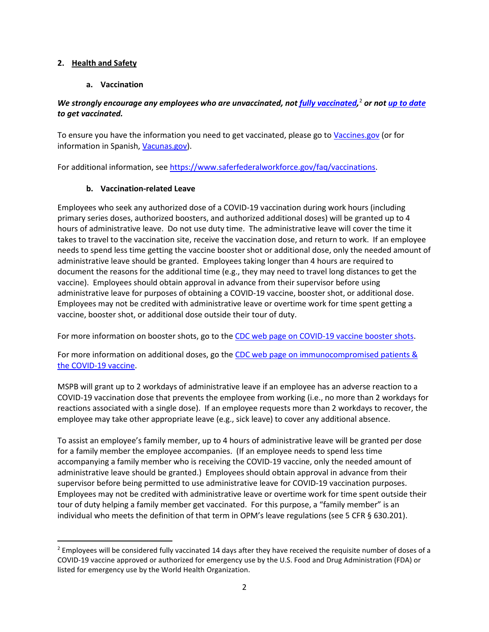### **2. Health and Safety**

## **a. Vaccination**

## *We strongly encourage any employees who are unvaccinated, not [fully vaccinated,](https://www.cdc.gov/coronavirus/2019-ncov/vaccines/fully-vaccinated.html)* [2](#page-1-0) *or not [up to date](https://www.cdc.gov/coronavirus/2019-ncov/vaccines/stay-up-to-date.html?CDC_AA_refVal=https%3A%2F%2Fwww.cdc.gov%2Fcoronavirus%2F2019-ncov%2Fvaccines%2Ffully-vaccinated.html) to get vaccinated.*

To ensure you have the information you need to get vaccinated, please go t[o Vaccines.gov](https://www.vaccines.gov/) (or for information in Spanish, [Vacunas.gov\)](https://www.vacunas.gov/).

For additional information, se[e https://www.saferfederalworkforce.gov/faq/vaccinations.](https://www.saferfederalworkforce.gov/faq/vaccinations)

## **b. Vaccination-related Leave**

Employees who seek any authorized dose of a COVID-19 vaccination during work hours (including primary series doses, authorized boosters, and authorized additional doses) will be granted up to 4 hours of administrative leave. Do not use duty time. The administrative leave will cover the time it takes to travel to the vaccination site, receive the vaccination dose, and return to work. If an employee needs to spend less time getting the vaccine booster shot or additional dose, only the needed amount of administrative leave should be granted. Employees taking longer than 4 hours are required to document the reasons for the additional time (e.g., they may need to travel long distances to get the vaccine). Employees should obtain approval in advance from their supervisor before using administrative leave for purposes of obtaining a COVID-19 vaccine, booster shot, or additional dose. Employees may not be credited with administrative leave or overtime work for time spent getting a vaccine, booster shot, or additional dose outside their tour of duty.

For more information on booster shots, go to the [CDC web page on COVID-19 vaccine booster shots.](https://www.cdc.gov/coronavirus/2019-ncov/vaccines/booster-shot.html)

For more information on additional doses, go the CDC web page on immunocompromised patients & [the COVID-19 vaccine.](https://www.cdc.gov/vaccines/covid-19/clinical-considerations/immunocompromised.html)

MSPB will grant up to 2 workdays of administrative leave if an employee has an adverse reaction to a COVID-19 vaccination dose that prevents the employee from working (i.e., no more than 2 workdays for reactions associated with a single dose). If an employee requests more than 2 workdays to recover, the employee may take other appropriate leave (e.g., sick leave) to cover any additional absence.

To assist an employee's family member, up to 4 hours of administrative leave will be granted per dose for a family member the employee accompanies. (If an employee needs to spend less time accompanying a family member who is receiving the COVID-19 vaccine, only the needed amount of administrative leave should be granted.) Employees should obtain approval in advance from their supervisor before being permitted to use administrative leave for COVID-19 vaccination purposes. Employees may not be credited with administrative leave or overtime work for time spent outside their tour of duty helping a family member get vaccinated. For this purpose, a "family member" is an individual who meets the definition of that term in OPM's leave regulations (see 5 CFR § 630.201).

<span id="page-1-0"></span><sup>&</sup>lt;sup>2</sup> Employees will be considered fully vaccinated 14 days after they have received the requisite number of doses of a COVID-19 vaccine approved or authorized for emergency use by the U.S. Food and Drug Administration (FDA) or listed for emergency use by the World Health Organization.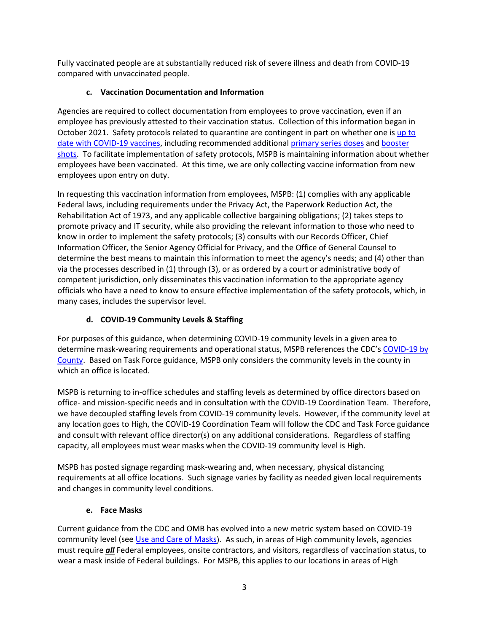Fully vaccinated people are at substantially reduced risk of severe illness and death from COVID-19 compared with unvaccinated people.

# **c. Vaccination Documentation and Information**

Agencies are required to collect documentation from employees to prove vaccination, even if an employee has previously attested to their vaccination status. Collection of this information began in October 2021. Safety protocols related to quarantine are contingent in part on whether one is [up to](https://www.cdc.gov/coronavirus/2019-ncov/vaccines/stay-up-to-date.html)  [date with COVID-19 vaccines,](https://www.cdc.gov/coronavirus/2019-ncov/vaccines/stay-up-to-date.html) including recommended additional [primary series doses](https://www.cdc.gov/coronavirus/2019-ncov/vaccines/recommendations/immuno.html) and [booster](https://www.cdc.gov/coronavirus/2019-ncov/vaccines/booster-shot.html)  [shots.](https://www.cdc.gov/coronavirus/2019-ncov/vaccines/booster-shot.html) To facilitate implementation of safety protocols, MSPB is maintaining information about whether employees have been vaccinated. At this time, we are only collecting vaccine information from new employees upon entry on duty.

In requesting this vaccination information from employees, MSPB: (1) complies with any applicable Federal laws, including requirements under the Privacy Act, the Paperwork Reduction Act, the Rehabilitation Act of 1973, and any applicable collective bargaining obligations; (2) takes steps to promote privacy and IT security, while also providing the relevant information to those who need to know in order to implement the safety protocols; (3) consults with our Records Officer, Chief Information Officer, the Senior Agency Official for Privacy, and the Office of General Counsel to determine the best means to maintain this information to meet the agency's needs; and (4) other than via the processes described in (1) through (3), or as ordered by a court or administrative body of competent jurisdiction, only disseminates this vaccination information to the appropriate agency officials who have a need to know to ensure effective implementation of the safety protocols, which, in many cases, includes the supervisor level.

# **d. COVID-19 Community Levels & Staffing**

For purposes of this guidance, when determining COVID-19 community levels in a given area to determine mask-wearing requirements and operational status, MSPB references the CDC'[s COVID-19 by](https://www.cdc.gov/coronavirus/2019-ncov/your-health/covid-by-county.html)  [County.](https://www.cdc.gov/coronavirus/2019-ncov/your-health/covid-by-county.html) Based on Task Force guidance, MSPB only considers the community levels in the county in which an office is located.

MSPB is returning to in-office schedules and staffing levels as determined by office directors based on office- and mission-specific needs and in consultation with the COVID-19 Coordination Team. Therefore, we have decoupled staffing levels from COVID-19 community levels. However, if the community level at any location goes to High, the COVID-19 Coordination Team will follow the CDC and Task Force guidance and consult with relevant office director(s) on any additional considerations. Regardless of staffing capacity, all employees must wear masks when the COVID-19 community level is High.

MSPB has posted signage regarding mask-wearing and, when necessary, physical distancing requirements at all office locations. Such signage varies by facility as needed given local requirements and changes in community level conditions.

## **e. Face Masks**

Current guidance from the CDC and OMB has evolved into a new metric system based on COVID-19 community level (see [Use and Care of Masks\)](https://www.cdc.gov/coronavirus/2019-ncov/prevent-getting-sick/about-face-coverings.html). As such, in areas of High community levels, agencies must require *all* Federal employees, onsite contractors, and visitors, regardless of vaccination status, to wear a mask inside of Federal buildings. For MSPB, this applies to our locations in areas of High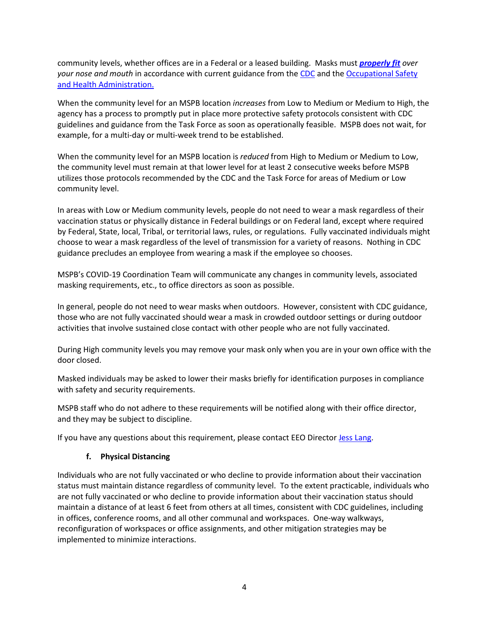community levels, whether offices are in a Federal or a leased building. Masks must *[properly fit](https://www.cdc.gov/coronavirus/2019-ncov/prevent-getting-sick/mask-fit-and-filtration.html#:%7E:text=When%20there%20are%20gaps%2C%20air,face%20and%20not%20have%20gaps.) over your nose and mouth* in accordance with current guidance from the [CDC](https://www.cdc.gov/coronavirus/2019-nCoV/index.html) and the Occupational Safety [and Health Administration.](https://www.osha.gov/coronavirus)

When the community level for an MSPB location *increases* from Low to Medium or Medium to High, the agency has a process to promptly put in place more protective safety protocols consistent with CDC guidelines and guidance from the Task Force as soon as operationally feasible. MSPB does not wait, for example, for a multi-day or multi-week trend to be established.

When the community level for an MSPB location is *reduced* from High to Medium or Medium to Low, the community level must remain at that lower level for at least 2 consecutive weeks before MSPB utilizes those protocols recommended by the CDC and the Task Force for areas of Medium or Low community level.

In areas with Low or Medium community levels, people do not need to wear a mask regardless of their vaccination status or physically distance in Federal buildings or on Federal land, except where required by Federal, State, local, Tribal, or territorial laws, rules, or regulations. Fully vaccinated individuals might choose to wear a mask regardless of the level of transmission for a variety of reasons. Nothing in CDC guidance precludes an employee from wearing a mask if the employee so chooses.

MSPB's COVID-19 Coordination Team will communicate any changes in community levels, associated masking requirements, etc., to office directors as soon as possible.

In general, people do not need to wear masks when outdoors. However, consistent with CDC guidance, those who are not fully vaccinated should wear a mask in crowded outdoor settings or during outdoor activities that involve sustained close contact with other people who are not fully vaccinated.

During High community levels you may remove your mask only when you are in your own office with the door closed.

Masked individuals may be asked to lower their masks briefly for identification purposes in compliance with safety and security requirements.

MSPB staff who do not adhere to these requirements will be notified along with their office director, and they may be subject to discipline.

If you have any questions about this requirement, please contact EEO Director [Jess Lang.](mailto:jessica.lang@mspb.gov)

### **f. Physical Distancing**

Individuals who are not fully vaccinated or who decline to provide information about their vaccination status must maintain distance regardless of community level. To the extent practicable, individuals who are not fully vaccinated or who decline to provide information about their vaccination status should maintain a distance of at least 6 feet from others at all times, consistent with CDC guidelines, including in offices, conference rooms, and all other communal and workspaces. One-way walkways, reconfiguration of workspaces or office assignments, and other mitigation strategies may be implemented to minimize interactions.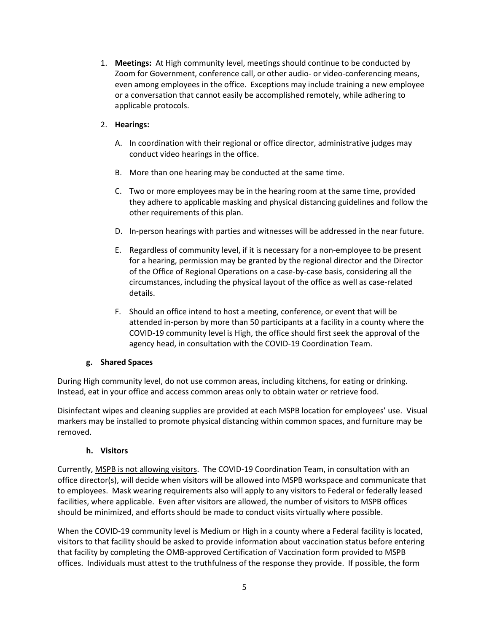1. **Meetings:** At High community level, meetings should continue to be conducted by Zoom for Government, conference call, or other audio- or video-conferencing means, even among employees in the office. Exceptions may include training a new employee or a conversation that cannot easily be accomplished remotely, while adhering to applicable protocols.

## 2. **Hearings:**

- A. In coordination with their regional or office director, administrative judges may conduct video hearings in the office.
- B. More than one hearing may be conducted at the same time.
- C. Two or more employees may be in the hearing room at the same time, provided they adhere to applicable masking and physical distancing guidelines and follow the other requirements of this plan.
- D. In-person hearings with parties and witnesses will be addressed in the near future.
- E. Regardless of community level, if it is necessary for a non-employee to be present for a hearing, permission may be granted by the regional director and the Director of the Office of Regional Operations on a case-by-case basis, considering all the circumstances, including the physical layout of the office as well as case-related details.
- F. Should an office intend to host a meeting, conference, or event that will be attended in-person by more than 50 participants at a facility in a county where the COVID-19 community level is High, the office should first seek the approval of the agency head, in consultation with the COVID-19 Coordination Team.

## **g. Shared Spaces**

During High community level, do not use common areas, including kitchens, for eating or drinking. Instead, eat in your office and access common areas only to obtain water or retrieve food.

Disinfectant wipes and cleaning supplies are provided at each MSPB location for employees' use. Visual markers may be installed to promote physical distancing within common spaces, and furniture may be removed.

## **h. Visitors**

Currently, MSPB is not allowing visitors. The COVID-19 Coordination Team, in consultation with an office director(s), will decide when visitors will be allowed into MSPB workspace and communicate that to employees. Mask wearing requirements also will apply to any visitors to Federal or federally leased facilities, where applicable. Even after visitors are allowed, the number of visitors to MSPB offices should be minimized, and efforts should be made to conduct visits virtually where possible.

When the COVID-19 community level is Medium or High in a county where a Federal facility is located, visitors to that facility should be asked to provide information about vaccination status before entering that facility by completing the OMB-approved Certification of Vaccination form provided to MSPB offices. Individuals must attest to the truthfulness of the response they provide. If possible, the form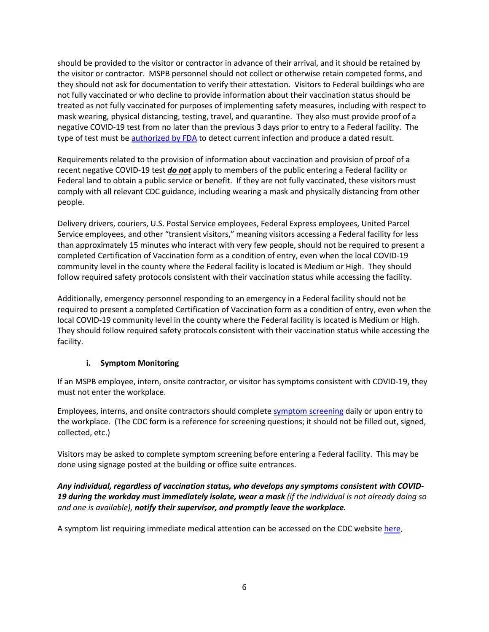should be provided to the visitor or contractor in advance of their arrival, and it should be retained by the visitor or contractor. MSPB personnel should not collect or otherwise retain competed forms, and they should not ask for documentation to verify their attestation. Visitors to Federal buildings who are not fully vaccinated or who decline to provide information about their vaccination status should be treated as not fully vaccinated for purposes of implementing safety measures, including with respect to mask wearing, physical distancing, testing, travel, and quarantine. They also must provide proof of a negative COVID-19 test from no later than the previous 3 days prior to entry to a Federal facility. The type of test must b[e authorized by FDA](https://www.fda.gov/medical-devices/coronavirus-disease-2019-covid-19-emergency-use-authorizations-medical-devices/in-vitro-diagnostics-euas) to detect current infection and produce a dated result.

Requirements related to the provision of information about vaccination and provision of proof of a recent negative COVID-19 test *do not* apply to members of the public entering a Federal facility or Federal land to obtain a public service or benefit. If they are not fully vaccinated, these visitors must comply with all relevant CDC guidance, including wearing a mask and physically distancing from other people.

Delivery drivers, couriers, U.S. Postal Service employees, Federal Express employees, United Parcel Service employees, and other "transient visitors," meaning visitors accessing a Federal facility for less than approximately 15 minutes who interact with very few people, should not be required to present a completed Certification of Vaccination form as a condition of entry, even when the local COVID-19 community level in the county where the Federal facility is located is Medium or High. They should follow required safety protocols consistent with their vaccination status while accessing the facility.

Additionally, emergency personnel responding to an emergency in a Federal facility should not be required to present a completed Certification of Vaccination form as a condition of entry, even when the local COVID-19 community level in the county where the Federal facility is located is Medium or High. They should follow required safety protocols consistent with their vaccination status while accessing the facility.

## **i. Symptom Monitoring**

If an MSPB employee, intern, onsite contractor, or visitor has symptoms consistent with COVID-19, they must not enter the workplace.

Employees, interns, and onsite contractors should complet[e symptom screening](https://www.cdc.gov/screening/paper-version.pdf) daily or upon entry to the workplace. (The CDC form is a reference for screening questions; it should not be filled out, signed, collected, etc.)

Visitors may be asked to complete symptom screening before entering a Federal facility. This may be done using signage posted at the building or office suite entrances.

## *Any individual, regardless of vaccination status, who develops any symptoms consistent with COVID-19 during the workday must immediately isolate, wear a mask (if the individual is not already doing so and one is available), notify their supervisor, and promptly leave the workplace.*

A symptom list requiring immediate medical attention can be accessed on the CDC website [here.](https://www.cdc.gov/coronavirus/2019-ncov/symptoms-testing/symptoms.html)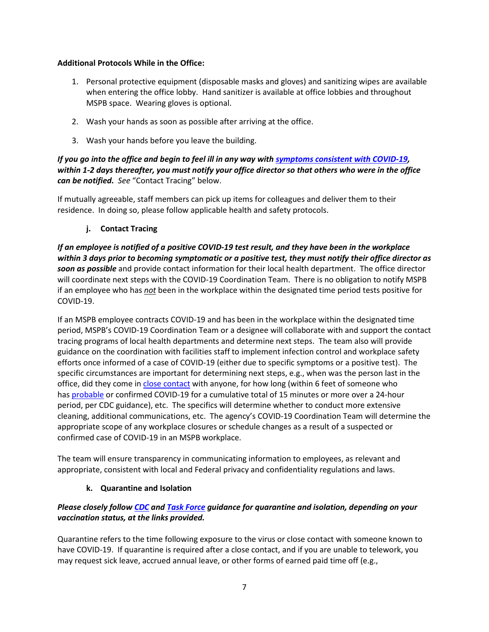### **Additional Protocols While in the Office:**

- 1. Personal protective equipment (disposable masks and gloves) and sanitizing wipes are available when entering the office lobby. Hand sanitizer is available at office lobbies and throughout MSPB space. Wearing gloves is optional.
- 2. Wash your hands as soon as possible after arriving at the office.
- 3. Wash your hands before you leave the building.

## *If you go into the office and begin to feel ill in any way with [symptoms consistent with COVID-19,](https://www.cdc.gov/coronavirus/2019-ncov/symptoms-testing/symptoms.html) within 1-2 days thereafter, you must notify your office director so that others who were in the office can be notified. See* "Contact Tracing" below.

If mutually agreeable, staff members can pick up items for colleagues and deliver them to their residence. In doing so, please follow applicable health and safety protocols.

## **j. Contact Tracing**

*If an employee is notified of a positive COVID-19 test result, and they have been in the workplace within 3 days prior to becoming symptomatic or a positive test, they must notify their office director as soon as possible* and provide contact information for their local health department. The office director will coordinate next steps with the COVID-19 Coordination Team. There is no obligation to notify MSPB if an employee who has *not* been in the workplace within the designated time period tests positive for COVID-19.

If an MSPB employee contracts COVID-19 and has been in the workplace within the designated time period, MSPB's COVID-19 Coordination Team or a designee will collaborate with and support the contact tracing programs of local health departments and determine next steps. The team also will provide guidance on the coordination with facilities staff to implement infection control and workplace safety efforts once informed of a case of COVID-19 (either due to specific symptoms or a positive test). The specific circumstances are important for determining next steps, e.g., when was the person last in the office, did they come in [close contact](https://www.cdc.gov/coronavirus/2019-ncov/your-health/quarantine-isolation.html#closecontact) with anyone, for how long (within 6 feet of someone who has [probable](https://www.cdc.gov/coronavirus/2019-ncov/covid-data/faq-surveillance.html) or confirmed COVID-19 for a cumulative total of 15 minutes or more over a 24-hour period, per CDC guidance), etc. The specifics will determine whether to conduct more extensive cleaning, additional communications, etc. The agency's COVID-19 Coordination Team will determine the appropriate scope of any workplace closures or schedule changes as a result of a suspected or confirmed case of COVID-19 in an MSPB workplace.

The team will ensure transparency in communicating information to employees, as relevant and appropriate, consistent with local and Federal privacy and confidentiality regulations and laws.

### **k. Quarantine and Isolation**

## *Please closely follow [CDC](https://www.cdc.gov/coronavirus/2019-ncov/your-health/quarantine-isolation.html) and [Task Force](https://www.saferfederalworkforce.gov/faq/quarantine-and-isolation/) guidance for quarantine and isolation, depending on your vaccination status, at the links provided.*

Quarantine refers to the time following exposure to the virus or close contact with someone known to have COVID-19. If quarantine is required after a close contact, and if you are unable to telework, you may request sick leave, accrued annual leave, or other forms of earned paid time off (e.g.,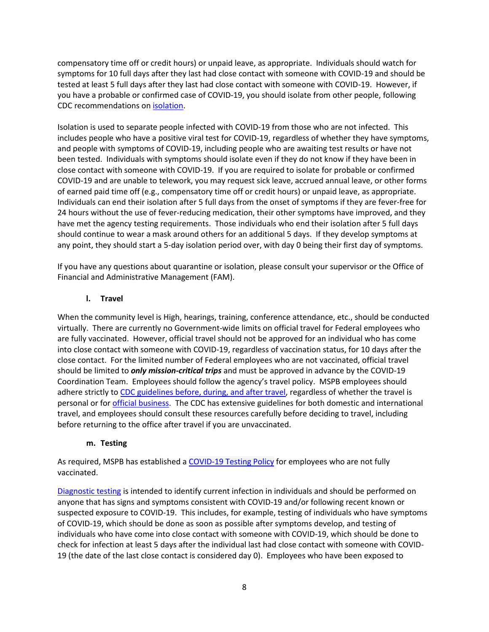compensatory time off or credit hours) or unpaid leave, as appropriate. Individuals should watch for symptoms for 10 full days after they last had close contact with someone with COVID-19 and should be tested at least 5 full days after they last had close contact with someone with COVID-19. However, if you have a probable or confirmed case of COVID-19, you should isolate from other people, following CDC recommendations on [isolation.](https://www.cdc.gov/coronavirus/2019-ncov/your-health/quarantine-isolation.html#isolation)

Isolation is used to separate people infected with COVID-19 from those who are not infected. This includes people who have a positive viral test for COVID-19, regardless of whether they have symptoms, and people with symptoms of COVID-19, including people who are awaiting test results or have not been tested. Individuals with symptoms should isolate even if they do not know if they have been in close contact with someone with COVID-19. If you are required to isolate for probable or confirmed COVID-19 and are unable to telework, you may request sick leave, accrued annual leave, or other forms of earned paid time off (e.g., compensatory time off or credit hours) or unpaid leave, as appropriate. Individuals can end their isolation after 5 full days from the onset of symptoms if they are fever-free for 24 hours without the use of fever-reducing medication, their other symptoms have improved, and they have met the agency testing requirements. Those individuals who end their isolation after 5 full days should continue to wear a mask around others for an additional 5 days. If they develop symptoms at any point, they should start a 5-day isolation period over, with day 0 being their first day of symptoms.

If you have any questions about quarantine or isolation, please consult your supervisor or the Office of Financial and Administrative Management (FAM).

## **l. Travel**

When the community level is High, hearings, training, conference attendance, etc., should be conducted virtually. There are currently no Government-wide limits on official travel for Federal employees who are fully vaccinated. However, official travel should not be approved for an individual who has come into close contact with someone with COVID-19, regardless of vaccination status, for 10 days after the close contact. For the limited number of Federal employees who are not vaccinated, official travel should be limited to *only mission-critical trips* and must be approved in advance by the COVID-19 Coordination Team. Employees should follow the agency's travel policy. MSPB employees should adhere strictly t[o CDC guidelines before, during, and after travel,](https://www.cdc.gov/coronavirus/2019-ncov/travelers/index.html) regardless of whether the travel is personal or for [official business.](https://www.saferfederalworkforce.gov/faq/travel/) The CDC has extensive guidelines for both domestic and international travel, and employees should consult these resources carefully before deciding to travel, including before returning to the office after travel if you are unvaccinated.

### **m. Testing**

As required, MSPB has established a [COVID-19](https://mspbo365.sharepoint.com/sites/home/Policies%20and%20Directives/COVID-19%20Testing%20Policy%203-23-22.pdf) Testing Policy for employees who are not fully vaccinated.

[Diagnostic testing](https://www.cdc.gov/coronavirus/2019-ncov/lab/resources/sars-cov2-testing-strategies.html#anchor_1615061452203) is intended to identify current infection in individuals and should be performed on anyone that has signs and symptoms consistent with COVID-19 and/or following recent known or suspected exposure to COVID-19. This includes, for example, testing of individuals who have symptoms of COVID-19, which should be done as soon as possible after symptoms develop, and testing of individuals who have come into close contact with someone with COVID-19, which should be done to check for infection at least 5 days after the individual last had close contact with someone with COVID-19 (the date of the last close contact is considered day 0). Employees who have been exposed to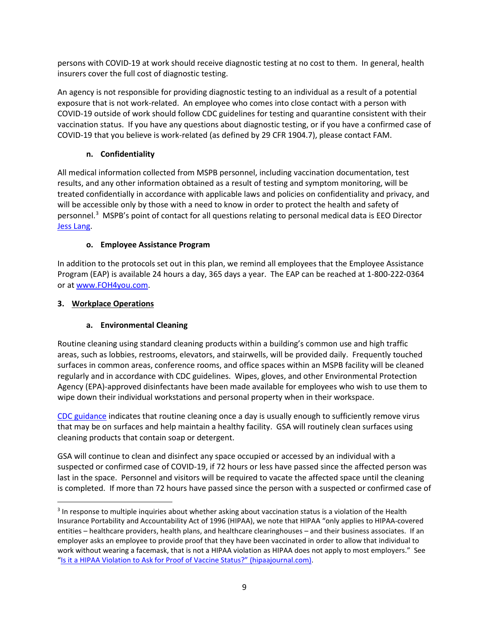persons with COVID-19 at work should receive diagnostic testing at no cost to them. In general, health insurers cover the full cost of diagnostic testing.

An agency is not responsible for providing diagnostic testing to an individual as a result of a potential exposure that is not work-related. An employee who comes into close contact with a person with COVID-19 outside of work should follow CDC guidelines for testing and quarantine consistent with their vaccination status. If you have any questions about diagnostic testing, or if you have a confirmed case of COVID-19 that you believe is work-related (as defined by 29 CFR 1904.7), please contact FAM.

# **n. Confidentiality**

All medical information collected from MSPB personnel, including vaccination documentation, test results, and any other information obtained as a result of testing and symptom monitoring, will be treated confidentially in accordance with applicable laws and policies on confidentiality and privacy, and will be accessible only by those with a need to know in order to protect the health and safety of personnel.[3](#page-8-0) MSPB's point of contact for all questions relating to personal medical data is EEO Director [Jess Lang.](mailto:jessica.lang@mspb.gov)

# **o. Employee Assistance Program**

In addition to the protocols set out in this plan, we remind all employees that the Employee Assistance Program (EAP) is available 24 hours a day, 365 days a year. The EAP can be reached at 1-800-222-0364 or a[t www.FOH4you.com.](http://www.foh4you.com/)

# **3. Workplace Operations**

# **a. Environmental Cleaning**

Routine cleaning using standard cleaning products within a building's common use and high traffic areas, such as lobbies, restrooms, elevators, and stairwells, will be provided daily. Frequently touched surfaces in common areas, conference rooms, and office spaces within an MSPB facility will be cleaned regularly and in accordance with CDC guidelines. Wipes, gloves, and other Environmental Protection Agency (EPA)-approved disinfectants have been made available for employees who wish to use them to wipe down their individual workstations and personal property when in their workspace.

[CDC guidance](https://www.cdc.gov/coronavirus/2019-ncov/community/disinfecting-building-facility.html#anchor_1617548446719) indicates that routine cleaning once a day is usually enough to sufficiently remove virus that may be on surfaces and help maintain a healthy facility. GSA will routinely clean surfaces using cleaning products that contain soap or detergent.

GSA will continue to clean and disinfect any space occupied or accessed by an individual with a suspected or confirmed case of COVID-19, if 72 hours or less have passed since the affected person was last in the space. Personnel and visitors will be required to vacate the affected space until the cleaning is completed. If more than 72 hours have passed since the person with a suspected or confirmed case of

<span id="page-8-0"></span><sup>&</sup>lt;sup>3</sup> In response to multiple inquiries about whether asking about vaccination status is a violation of the Health Insurance Portability and Accountability Act of 1996 (HIPAA), we note that HIPAA "only applies to HIPAA-covered entities – healthcare providers, health plans, and healthcare clearinghouses – and their business associates. If an employer asks an employee to provide proof that they have been vaccinated in order to allow that individual to work without wearing a facemask, that is not a HIPAA violation as HIPAA does not apply to most employers." See ["Is it a HIPAA Violation to Ask for Proof of Vaccine Status?"](https://www.hipaajournal.com/is-it-a-hipaa-violation-to-ask-for-proof-of-vaccine-status/) (hipaajournal.com).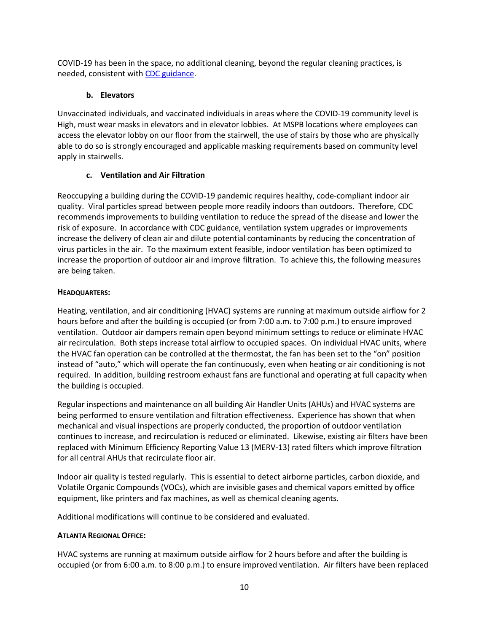COVID-19 has been in the space, no additional cleaning, beyond the regular cleaning practices, is needed, consistent with [CDC guidance.](https://www.cdc.gov/coronavirus/2019-ncov/community/disinfecting-building-facility.html#anchor_1617548446719)

## **b. Elevators**

Unvaccinated individuals, and vaccinated individuals in areas where the COVID-19 community level is High, must wear masks in elevators and in elevator lobbies. At MSPB locations where employees can access the elevator lobby on our floor from the stairwell, the use of stairs by those who are physically able to do so is strongly encouraged and applicable masking requirements based on community level apply in stairwells.

# **c. Ventilation and Air Filtration**

Reoccupying a building during the COVID-19 pandemic requires healthy, code-compliant indoor air quality. Viral particles spread between people more readily indoors than outdoors. Therefore, CDC recommends improvements to building ventilation to reduce the spread of the disease and lower the risk of exposure. In accordance with CDC guidance, ventilation system upgrades or improvements increase the delivery of clean air and dilute potential contaminants by reducing the concentration of virus particles in the air. To the maximum extent feasible, indoor ventilation has been optimized to increase the proportion of outdoor air and improve filtration. To achieve this, the following measures are being taken.

## **HEADQUARTERS:**

Heating, ventilation, and air conditioning (HVAC) systems are running at maximum outside airflow for 2 hours before and after the building is occupied (or from 7:00 a.m. to 7:00 p.m.) to ensure improved ventilation. Outdoor air dampers remain open beyond minimum settings to reduce or eliminate HVAC air recirculation. Both steps increase total airflow to occupied spaces. On individual HVAC units, where the HVAC fan operation can be controlled at the thermostat, the fan has been set to the "on" position instead of "auto," which will operate the fan continuously, even when heating or air conditioning is not required. In addition, building restroom exhaust fans are functional and operating at full capacity when the building is occupied.

Regular inspections and maintenance on all building Air Handler Units (AHUs) and HVAC systems are being performed to ensure ventilation and filtration effectiveness. Experience has shown that when mechanical and visual inspections are properly conducted, the proportion of outdoor ventilation continues to increase, and recirculation is reduced or eliminated. Likewise, existing air filters have been replaced with Minimum Efficiency Reporting Value 13 (MERV-13) rated filters which improve filtration for all central AHUs that recirculate floor air.

Indoor air quality is tested regularly. This is essential to detect airborne particles, carbon dioxide, and Volatile Organic Compounds (VOCs), which are invisible gases and chemical vapors emitted by office equipment, like printers and fax machines, as well as chemical cleaning agents.

Additional modifications will continue to be considered and evaluated.

## **ATLANTA REGIONAL OFFICE:**

HVAC systems are running at maximum outside airflow for 2 hours before and after the building is occupied (or from 6:00 a.m. to 8:00 p.m.) to ensure improved ventilation. Air filters have been replaced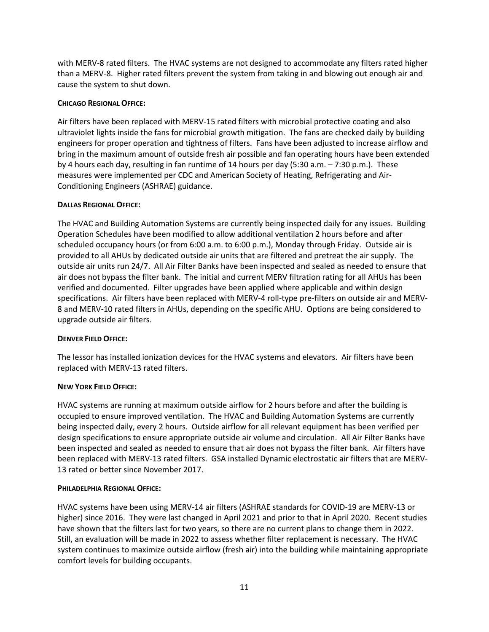with MERV-8 rated filters. The HVAC systems are not designed to accommodate any filters rated higher than a MERV-8. Higher rated filters prevent the system from taking in and blowing out enough air and cause the system to shut down.

### **CHICAGO REGIONAL OFFICE:**

Air filters have been replaced with MERV-15 rated filters with microbial protective coating and also ultraviolet lights inside the fans for microbial growth mitigation. The fans are checked daily by building engineers for proper operation and tightness of filters. Fans have been adjusted to increase airflow and bring in the maximum amount of outside fresh air possible and fan operating hours have been extended by 4 hours each day, resulting in fan runtime of 14 hours per day (5:30 a.m. – 7:30 p.m.). These measures were implemented per CDC and American Society of Heating, Refrigerating and Air-Conditioning Engineers (ASHRAE) guidance.

## **DALLAS REGIONAL OFFICE:**

The HVAC and Building Automation Systems are currently being inspected daily for any issues. Building Operation Schedules have been modified to allow additional ventilation 2 hours before and after scheduled occupancy hours (or from 6:00 a.m. to 6:00 p.m.), Monday through Friday. Outside air is provided to all AHUs by dedicated outside air units that are filtered and pretreat the air supply. The outside air units run 24/7. All Air Filter Banks have been inspected and sealed as needed to ensure that air does not bypass the filter bank. The initial and current MERV filtration rating for all AHUs has been verified and documented. Filter upgrades have been applied where applicable and within design specifications. Air filters have been replaced with MERV-4 roll-type pre-filters on outside air and MERV-8 and MERV-10 rated filters in AHUs, depending on the specific AHU. Options are being considered to upgrade outside air filters.

### **DENVER FIELD OFFICE:**

The lessor has installed ionization devices for the HVAC systems and elevators. Air filters have been replaced with MERV-13 rated filters.

### **NEW YORK FIELD OFFICE:**

HVAC systems are running at maximum outside airflow for 2 hours before and after the building is occupied to ensure improved ventilation. The HVAC and Building Automation Systems are currently being inspected daily, every 2 hours. Outside airflow for all relevant equipment has been verified per design specifications to ensure appropriate outside air volume and circulation. All Air Filter Banks have been inspected and sealed as needed to ensure that air does not bypass the filter bank. Air filters have been replaced with MERV-13 rated filters. GSA installed Dynamic electrostatic air filters that are MERV-13 rated or better since November 2017.

### **PHILADELPHIA REGIONAL OFFICE:**

HVAC systems have been using MERV-14 air filters (ASHRAE standards for COVID-19 are MERV-13 or higher) since 2016. They were last changed in April 2021 and prior to that in April 2020. Recent studies have shown that the filters last for two years, so there are no current plans to change them in 2022. Still, an evaluation will be made in 2022 to assess whether filter replacement is necessary. The HVAC system continues to maximize outside airflow (fresh air) into the building while maintaining appropriate comfort levels for building occupants.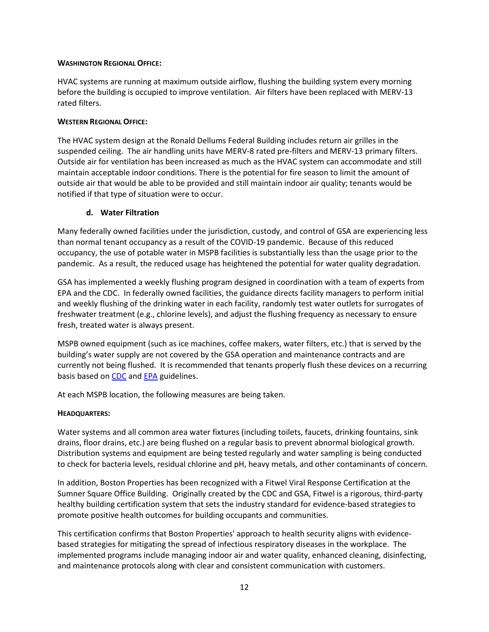### **WASHINGTON REGIONAL OFFICE:**

HVAC systems are running at maximum outside airflow, flushing the building system every morning before the building is occupied to improve ventilation. Air filters have been replaced with MERV-13 rated filters.

### **WESTERN REGIONAL OFFICE:**

The HVAC system design at the Ronald Dellums Federal Building includes return air grilles in the suspended ceiling. The air handling units have MERV-8 rated pre-filters and MERV-13 primary filters. Outside air for ventilation has been increased as much as the HVAC system can accommodate and still maintain acceptable indoor conditions. There is the potential for fire season to limit the amount of outside air that would be able to be provided and still maintain indoor air quality; tenants would be notified if that type of situation were to occur.

### **d. Water Filtration**

Many federally owned facilities under the jurisdiction, custody, and control of GSA are experiencing less than normal tenant occupancy as a result of the COVID-19 pandemic. Because of this reduced occupancy, the use of potable water in MSPB facilities is substantially less than the usage prior to the pandemic. As a result, the reduced usage has heightened the potential for water quality degradation.

GSA has implemented a weekly flushing program designed in coordination with a team of experts from EPA and the CDC. In federally owned facilities, the guidance directs facility managers to perform initial and weekly flushing of the drinking water in each facility, randomly test water outlets for surrogates of freshwater treatment (e.g., chlorine levels), and adjust the flushing frequency as necessary to ensure fresh, treated water is always present.

MSPB owned equipment (such as ice machines, coffee makers, water filters, etc.) that is served by the building's water supply are not covered by the GSA operation and maintenance contracts and are currently not being flushed. It is recommended that tenants properly flush these devices on a recurring basis based on [CDC](https://www.cdc.gov/coronavirus/2019-ncov/php/building-water-system.html) and [EPA](https://www.epa.gov/sites/production/files/2020-05/documents/final_maintaining_building_water_quality_5.6.20-v2.pdf) guidelines.

At each MSPB location, the following measures are being taken.

### **HEADQUARTERS:**

Water systems and all common area water fixtures (including toilets, faucets, drinking fountains, sink drains, floor drains, etc.) are being flushed on a regular basis to prevent abnormal biological growth. Distribution systems and equipment are being tested regularly and water sampling is being conducted to check for bacteria levels, residual chlorine and pH, heavy metals, and other contaminants of concern.

In addition, Boston Properties has been recognized with a Fitwel Viral Response Certification at the Sumner Square Office Building. Originally created by the CDC and GSA, Fitwel is a rigorous, third-party healthy building certification system that sets the industry standard for evidence-based strategies to promote positive health outcomes for building occupants and communities.

This certification confirms that Boston Properties' approach to health security aligns with evidencebased strategies for mitigating the spread of infectious respiratory diseases in the workplace. The implemented programs include managing indoor air and water quality, enhanced cleaning, disinfecting, and maintenance protocols along with clear and consistent communication with customers.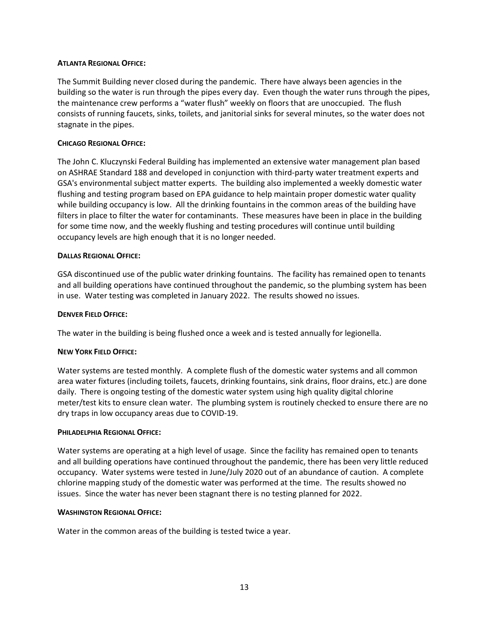### **ATLANTA REGIONAL OFFICE:**

The Summit Building never closed during the pandemic. There have always been agencies in the building so the water is run through the pipes every day. Even though the water runs through the pipes, the maintenance crew performs a "water flush" weekly on floors that are unoccupied. The flush consists of running faucets, sinks, toilets, and janitorial sinks for several minutes, so the water does not stagnate in the pipes.

### **CHICAGO REGIONAL OFFICE:**

The John C. Kluczynski Federal Building has implemented an extensive water management plan based on ASHRAE Standard 188 and developed in conjunction with third-party water treatment experts and GSA's environmental subject matter experts. The building also implemented a weekly domestic water flushing and testing program based on EPA guidance to help maintain proper domestic water quality while building occupancy is low. All the drinking fountains in the common areas of the building have filters in place to filter the water for contaminants. These measures have been in place in the building for some time now, and the weekly flushing and testing procedures will continue until building occupancy levels are high enough that it is no longer needed.

#### **DALLAS REGIONAL OFFICE:**

GSA discontinued use of the public water drinking fountains. The facility has remained open to tenants and all building operations have continued throughout the pandemic, so the plumbing system has been in use. Water testing was completed in January 2022. The results showed no issues.

#### **DENVER FIELD OFFICE:**

The water in the building is being flushed once a week and is tested annually for legionella.

#### **NEW YORK FIELD OFFICE:**

Water systems are tested monthly. A complete flush of the domestic water systems and all common area water fixtures (including toilets, faucets, drinking fountains, sink drains, floor drains, etc.) are done daily. There is ongoing testing of the domestic water system using high quality digital chlorine meter/test kits to ensure clean water. The plumbing system is routinely checked to ensure there are no dry traps in low occupancy areas due to COVID-19.

#### **PHILADELPHIA REGIONAL OFFICE:**

Water systems are operating at a high level of usage. Since the facility has remained open to tenants and all building operations have continued throughout the pandemic, there has been very little reduced occupancy. Water systems were tested in June/July 2020 out of an abundance of caution. A complete chlorine mapping study of the domestic water was performed at the time. The results showed no issues. Since the water has never been stagnant there is no testing planned for 2022.

#### **WASHINGTON REGIONAL OFFICE:**

Water in the common areas of the building is tested twice a year.